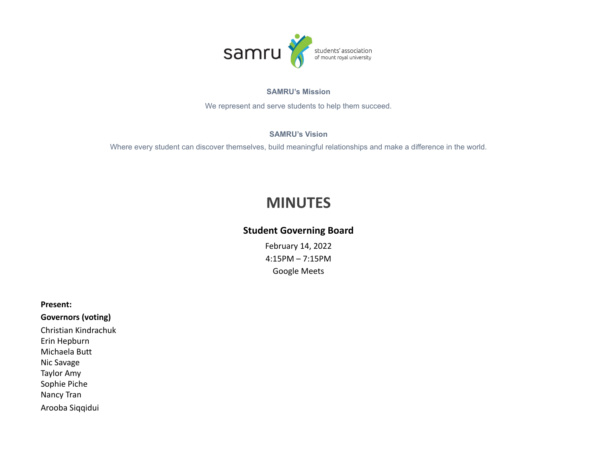

#### **SAMRU's Mission**

We represent and serve students to help them succeed.

### **SAMRU's Vision**

Where every student can discover themselves, build meaningful relationships and make a difference in the world.

# **MINUTES**

## **Student Governing Board**

February 14, 2022 4:15PM – 7:15PM Google Meets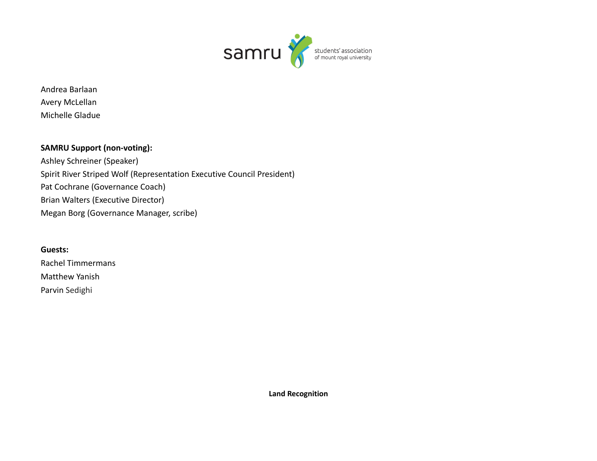

Andrea Barlaan Avery McLellan Michelle Gladue

### **SAMRU Support (non-voting):**

Ashley Schreiner (Speaker) Spirit River Striped Wolf (Representation Executive Council President) Pat Cochrane (Governance Coach) Brian Walters (Executive Director) Megan Borg (Governance Manager, scribe)

**Guests:** Rachel Timmermans Matthew Yanish Parvin Sedighi

**Land Recognition**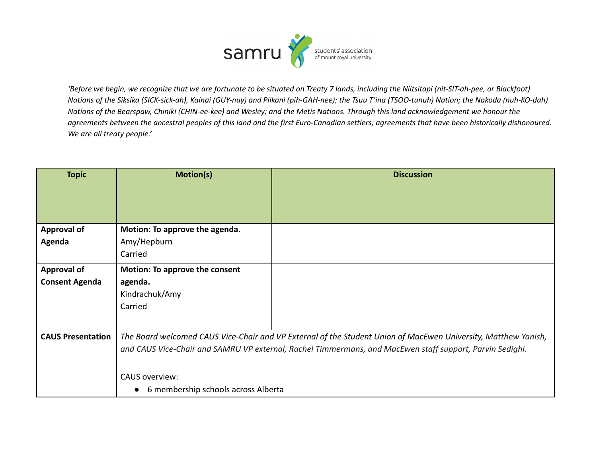

'Before we begin, we recognize that we are fortunate to be situated on Treaty 7 lands, including the Niitsitapi (nit-SIT-ah-pee, or Blackfoot) Nations of the Siksika (SICK-sick-ah), Kainai (GUY-nuy) and Piikani (pih-GAH-nee); the Tsuu T'ina (TSOO-tunuh) Nation; the Nakoda (nuh-KO-dah) Nations of the Bearspaw, Chiniki (CHIN-ee-kee) and Wesley; and the Metis Nations. Through this land acknowledgement we honour the agreements between the ancestral peoples of this land and the first Euro-Canadian settlers; agreements that have been historically dishonoured. *We are all treaty people.'*

| <b>Topic</b>             | <b>Motion(s)</b>                                                                                                                                                                                                                                                                                        | <b>Discussion</b> |
|--------------------------|---------------------------------------------------------------------------------------------------------------------------------------------------------------------------------------------------------------------------------------------------------------------------------------------------------|-------------------|
|                          |                                                                                                                                                                                                                                                                                                         |                   |
|                          |                                                                                                                                                                                                                                                                                                         |                   |
|                          |                                                                                                                                                                                                                                                                                                         |                   |
| <b>Approval of</b>       | Motion: To approve the agenda.                                                                                                                                                                                                                                                                          |                   |
| Agenda                   | Amy/Hepburn                                                                                                                                                                                                                                                                                             |                   |
|                          | Carried                                                                                                                                                                                                                                                                                                 |                   |
| <b>Approval of</b>       | <b>Motion: To approve the consent</b>                                                                                                                                                                                                                                                                   |                   |
| <b>Consent Agenda</b>    | agenda.                                                                                                                                                                                                                                                                                                 |                   |
|                          | Kindrachuk/Amy                                                                                                                                                                                                                                                                                          |                   |
|                          | Carried                                                                                                                                                                                                                                                                                                 |                   |
|                          |                                                                                                                                                                                                                                                                                                         |                   |
| <b>CAUS Presentation</b> | The Board welcomed CAUS Vice-Chair and VP External of the Student Union of MacEwen University, Matthew Yanish,<br>and CAUS Vice-Chair and SAMRU VP external, Rachel Timmermans, and MacEwen staff support, Parvin Sedighi.<br><b>CAUS</b> overview:<br>6 membership schools across Alberta<br>$\bullet$ |                   |
|                          |                                                                                                                                                                                                                                                                                                         |                   |
|                          |                                                                                                                                                                                                                                                                                                         |                   |
|                          |                                                                                                                                                                                                                                                                                                         |                   |
|                          |                                                                                                                                                                                                                                                                                                         |                   |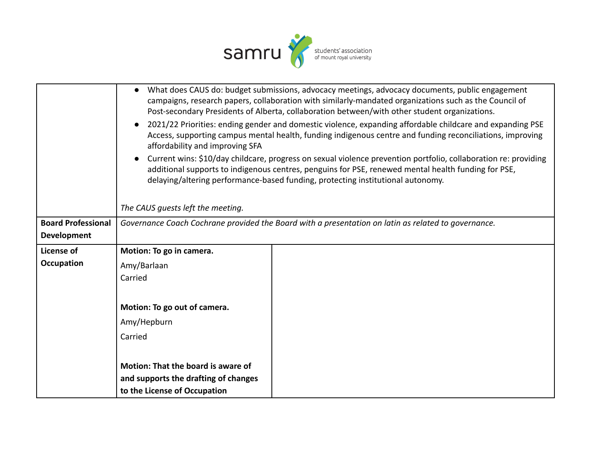

|                           | What does CAUS do: budget submissions, advocacy meetings, advocacy documents, public engagement<br>$\bullet$<br>campaigns, research papers, collaboration with similarly-mandated organizations such as the Council of<br>Post-secondary Presidents of Alberta, collaboration between/with other student organizations.<br>2021/22 Priorities: ending gender and domestic violence, expanding affordable childcare and expanding PSE<br>$\bullet$ |  |  |
|---------------------------|---------------------------------------------------------------------------------------------------------------------------------------------------------------------------------------------------------------------------------------------------------------------------------------------------------------------------------------------------------------------------------------------------------------------------------------------------|--|--|
|                           | Access, supporting campus mental health, funding indigenous centre and funding reconciliations, improving<br>affordability and improving SFA                                                                                                                                                                                                                                                                                                      |  |  |
|                           | Current wins: \$10/day childcare, progress on sexual violence prevention portfolio, collaboration re: providing<br>additional supports to indigenous centres, penguins for PSE, renewed mental health funding for PSE,<br>delaying/altering performance-based funding, protecting institutional autonomy.                                                                                                                                         |  |  |
|                           | The CAUS quests left the meeting.                                                                                                                                                                                                                                                                                                                                                                                                                 |  |  |
| <b>Board Professional</b> | Governance Coach Cochrane provided the Board with a presentation on latin as related to governance.                                                                                                                                                                                                                                                                                                                                               |  |  |
| <b>Development</b>        |                                                                                                                                                                                                                                                                                                                                                                                                                                                   |  |  |
| License of                | Motion: To go in camera.                                                                                                                                                                                                                                                                                                                                                                                                                          |  |  |
| <b>Occupation</b>         | Amy/Barlaan                                                                                                                                                                                                                                                                                                                                                                                                                                       |  |  |
|                           | Carried                                                                                                                                                                                                                                                                                                                                                                                                                                           |  |  |
|                           |                                                                                                                                                                                                                                                                                                                                                                                                                                                   |  |  |
|                           | Motion: To go out of camera.                                                                                                                                                                                                                                                                                                                                                                                                                      |  |  |
|                           | Amy/Hepburn                                                                                                                                                                                                                                                                                                                                                                                                                                       |  |  |
|                           | Carried                                                                                                                                                                                                                                                                                                                                                                                                                                           |  |  |
|                           |                                                                                                                                                                                                                                                                                                                                                                                                                                                   |  |  |
|                           | Motion: That the board is aware of<br>and supports the drafting of changes<br>to the License of Occupation                                                                                                                                                                                                                                                                                                                                        |  |  |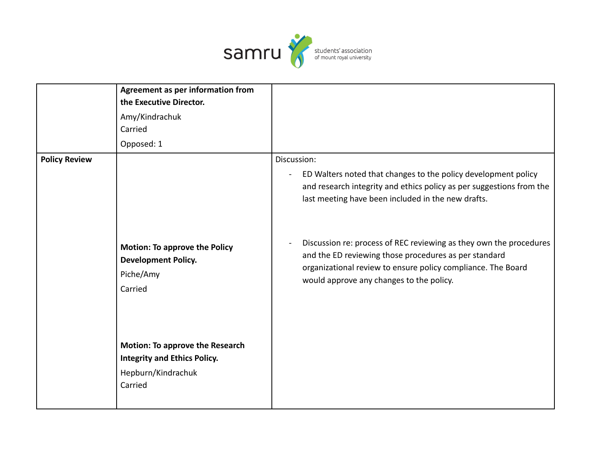

|                      | Agreement as per information from<br>the Executive Director.<br>Amy/Kindrachuk<br>Carried<br>Opposed: 1        |                                                                                                                                                                                                                                                                                                                                                                                                                                                        |
|----------------------|----------------------------------------------------------------------------------------------------------------|--------------------------------------------------------------------------------------------------------------------------------------------------------------------------------------------------------------------------------------------------------------------------------------------------------------------------------------------------------------------------------------------------------------------------------------------------------|
| <b>Policy Review</b> | <b>Motion: To approve the Policy</b><br><b>Development Policy.</b><br>Piche/Amy<br>Carried                     | Discussion:<br>ED Walters noted that changes to the policy development policy<br>and research integrity and ethics policy as per suggestions from the<br>last meeting have been included in the new drafts.<br>Discussion re: process of REC reviewing as they own the procedures<br>and the ED reviewing those procedures as per standard<br>organizational review to ensure policy compliance. The Board<br>would approve any changes to the policy. |
|                      | <b>Motion: To approve the Research</b><br><b>Integrity and Ethics Policy.</b><br>Hepburn/Kindrachuk<br>Carried |                                                                                                                                                                                                                                                                                                                                                                                                                                                        |